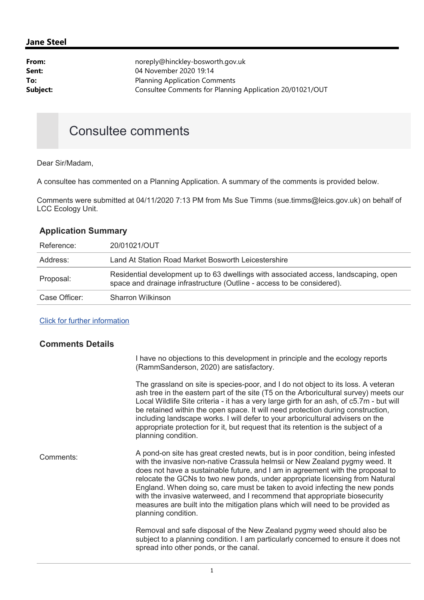## Jane Steel

| From:    | noreply@hinckley-bosworth.gov.uk                         |
|----------|----------------------------------------------------------|
| Sent:    | 04 November 2020 19:14                                   |
| To:      | <b>Planning Application Comments</b>                     |
| Subject: | Consultee Comments for Planning Application 20/01021/OUT |
|          |                                                          |

# Consultee comments

Dear Sir/Madam,

A consultee has commented on a Planning Application. A summary of the comments is provided below.

Comments were submitted at 04/11/2020 7:13 PM from Ms Sue Timms (sue.timms@leics.gov.uk) on behalf of LCC Ecology Unit.

## Application Summary

| Reference:    | 20/01021/OUT                                                                                                                                                   |
|---------------|----------------------------------------------------------------------------------------------------------------------------------------------------------------|
| Address:      | Land At Station Road Market Bosworth Leicestershire                                                                                                            |
| Proposal:     | Residential development up to 63 dwellings with associated access, landscaping, open<br>space and drainage infrastructure (Outline - access to be considered). |
| Case Officer: | Sharron Wilkinson                                                                                                                                              |

### Click for further information

### Comments Details

I have no objections to this development in principle and the ecology reports (RammSanderson, 2020) are satisfactory.

The grassland on site is species-poor, and I do not object to its loss. A veteran ash tree in the eastern part of the site (T5 on the Arboricultural survey) meets our Local Wildlife Site criteria - it has a very large girth for an ash, of c5.7m - but will be retained within the open space. It will need protection during construction, including landscape works. I will defer to your arboricultural advisers on the appropriate protection for it, but request that its retention is the subject of a planning condition.

Comments: A pond-on site has great crested newts, but is in poor condition, being infested with the invasive non-native Crassula helmsii or New Zealand pygmy weed. It does not have a sustainable future, and I am in agreement with the proposal to relocate the GCNs to two new ponds, under appropriate licensing from Natural England. When doing so, care must be taken to avoid infecting the new ponds with the invasive waterweed, and I recommend that appropriate biosecurity measures are built into the mitigation plans which will need to be provided as planning condition.

> Removal and safe disposal of the New Zealand pygmy weed should also be subject to a planning condition. I am particularly concerned to ensure it does not spread into other ponds, or the canal.